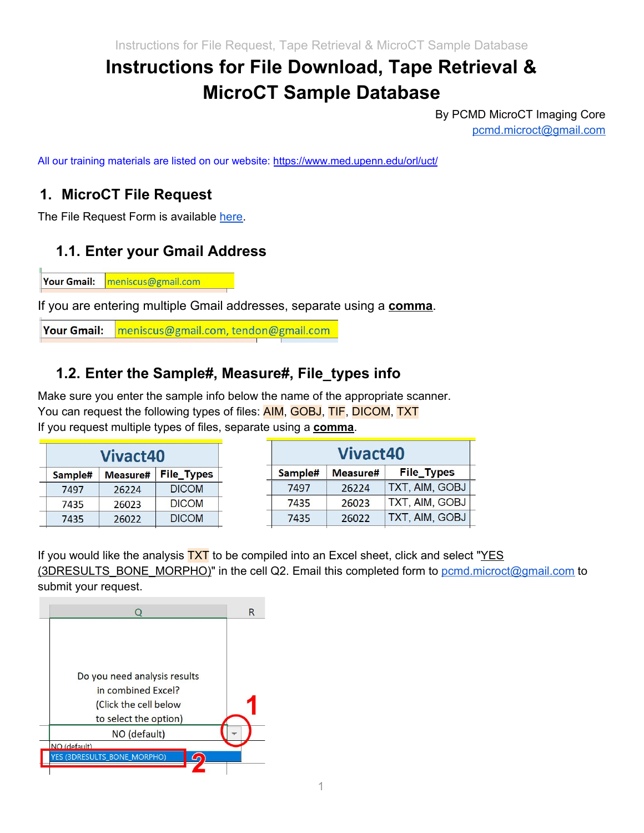# **Instructions for File Download, Tape Retrieval & MicroCT Sample Database**

By PCMD MicroCT Imaging Core [pcmd.microct@gmail.com](mailto:pcmd.microct@gmail.com)

All our training materials are listed on our website: [https://www.med.upenn.edu/orl/uct/](https://www.med.upenn.edu/orl/uct/resources.html)

#### **1. MicroCT File Request**

The File Request Form is available [here.](https://www.med.upenn.edu/orl/uct/assets/user-content/secure/User_file_request%20(v2020.01).xlsx)

## **1.1. Enter your Gmail Address**

**Your Gmail:** meniscus@gmail.com

If you are entering multiple Gmail addresses, separate using a **comma**.

**Your Gmail:** meniscus@gmail.com, tendon@gmail.com

#### **1.2. Enter the Sample#, Measure#, File\_types info**

Make sure you enter the sample info below the name of the appropriate scanner. You can request the following types of files: **AIM, GOBJ, TIF, DICOM, TXT** If you request multiple types of files, separate using a **comma**.

| <b>Vivact40</b> |          |                   |  |  |  |
|-----------------|----------|-------------------|--|--|--|
| Sample#         | Measure# | <b>File_Types</b> |  |  |  |
| 7497            | 26224    | <b>DICOM</b>      |  |  |  |
| 7435            | 26023    | <b>DICOM</b>      |  |  |  |
| 7435            | 26022    | <b>DICOM</b>      |  |  |  |

| Vivact40 |          |                   |  |  |  |
|----------|----------|-------------------|--|--|--|
| Sample#  | Measure# | <b>File_Types</b> |  |  |  |
| 7497     | 26224    | TXT, AIM, GOBJ    |  |  |  |
| 7435     | 26023    | TXT, AIM, GOBJ    |  |  |  |
| 7435     | 26022    | TXT, AIM, GOBJ    |  |  |  |

If you would like the analysis  $\overline{TX}$  to be compiled into an Excel sheet, click and select " $YES$ </u> (3DRESULTS\_BONE\_MORPHO)" in the cell Q2. Email this completed form to [pcmd.microct@gmail.com](mailto:pcmd.microct@gmail.com) to submit your request.

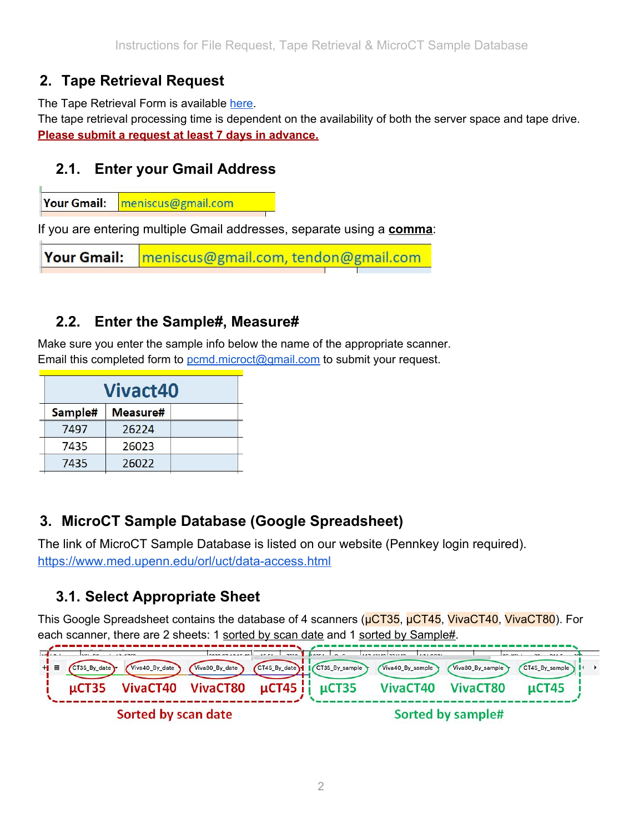## **2. Tape Retrieval Request**

The Tape Retrieval Form is available [here.](https://www.med.upenn.edu/orl/uct/assets/user-content/secure/Tape_retrieval_request%20(v2020.01).xlsx)

The tape retrieval processing time is dependent on the availability of both the server space and tape drive. **Please submit a request at least 7 days in advance.**

#### **2.1. Enter your Gmail Address**

**Your Gmail:** meniscus@gmail.com

If you are entering multiple Gmail addresses, separate using a **comma**:

**Your Gmail:** meniscus@gmail.com, tendon@gmail.com

#### **2.2. Enter the Sample#, Measure#**

Make sure you enter the sample info below the name of the appropriate scanner. Email this completed form to [pcmd.microct@gmail.com](mailto:pcmd.microct@gmail.com) to submit your request.

| <b>Vivact40</b> |          |  |  |  |  |  |
|-----------------|----------|--|--|--|--|--|
| Sample#         | Measure# |  |  |  |  |  |
| 7497            | 26224    |  |  |  |  |  |
| 7435            | 26023    |  |  |  |  |  |
| 7435            | 26022    |  |  |  |  |  |
|                 |          |  |  |  |  |  |

## **3. MicroCT Sample Database (Google Spreadsheet)**

The link of MicroCT Sample Database is listed on our website (Pennkey login required). <https://www.med.upenn.edu/orl/uct/data-access.html>

## **3.1. Select Appropriate Sheet**

This Google Spreadsheet contains the database of 4 scanners (μCT35, μCT45, VivaCT40, VivaCT80). For each scanner, there are 2 sheets: 1 sorted by scan date and 1 sorted by Sample#.